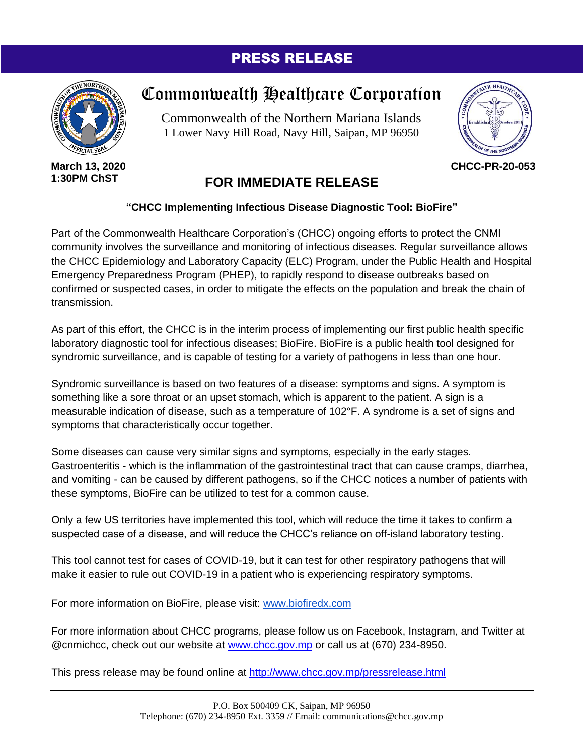## PRESS RELEASE



**March 13, 2020 1:30PM ChST**

## Commonwealth Healthcare Corporation

Commonwealth of the Northern Mariana Islands 1 Lower Navy Hill Road, Navy Hill, Saipan, MP 96950



**CHCC-PR-20-053**

## **FOR IMMEDIATE RELEASE**

## **"CHCC Implementing Infectious Disease Diagnostic Tool: BioFire"**

Part of the Commonwealth Healthcare Corporation's (CHCC) ongoing efforts to protect the CNMI community involves the surveillance and monitoring of infectious diseases. Regular surveillance allows the CHCC Epidemiology and Laboratory Capacity (ELC) Program, under the Public Health and Hospital Emergency Preparedness Program (PHEP), to rapidly respond to disease outbreaks based on confirmed or suspected cases, in order to mitigate the effects on the population and break the chain of transmission.

As part of this effort, the CHCC is in the interim process of implementing our first public health specific laboratory diagnostic tool for infectious diseases; BioFire. BioFire is a public health tool designed for syndromic surveillance, and is capable of testing for a variety of pathogens in less than one hour.

Syndromic surveillance is based on two features of a disease: symptoms and signs. A symptom is something like a sore throat or an upset stomach, which is apparent to the patient. A sign is a measurable indication of disease, such as a temperature of 102°F. A syndrome is a set of signs and symptoms that characteristically occur together.

Some diseases can cause very similar signs and symptoms, especially in the early stages. Gastroenteritis - which is the inflammation of the gastrointestinal tract that can cause cramps, diarrhea, and vomiting - can be caused by different pathogens, so if the CHCC notices a number of patients with these symptoms, BioFire can be utilized to test for a common cause.

Only a few US territories have implemented this tool, which will reduce the time it takes to confirm a suspected case of a disease, and will reduce the CHCC's reliance on off-island laboratory testing.

This tool cannot test for cases of COVID-19, but it can test for other respiratory pathogens that will make it easier to rule out COVID-19 in a patient who is experiencing respiratory symptoms.

For more information on BioFire, please visit: [www.biofiredx.com](http://www.biofiredx.com/)

For more information about CHCC programs, please follow us on Facebook, Instagram, and Twitter at @cnmichcc, check out our website at [www.chcc.gov.mp](http://www.chcc.gov.mp/) or call us at (670) 234-8950.

This press release may be found online at<http://www.chcc.gov.mp/pressrelease.html>